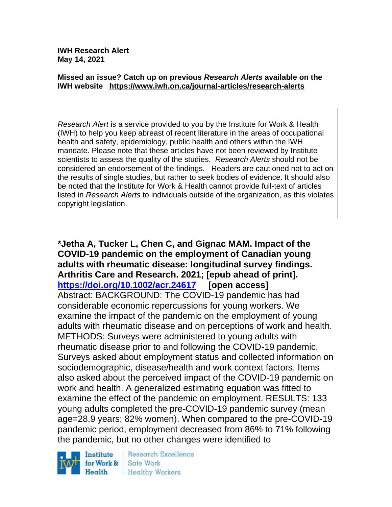**IWH Research Alert May 14, 2021**

#### **Missed an issue? Catch up on previous** *Research Alerts* **available on the [IWH website](http://www.iwh.on.ca/research-alerts) <https://www.iwh.on.ca/journal-articles/research-alerts>**

*Research Alert* is a service provided to you by the Institute for Work & Health (IWH) to help you keep abreast of recent literature in the areas of occupational health and safety, epidemiology, public health and others within the IWH mandate. Please note that these articles have not been reviewed by Institute scientists to assess the quality of the studies. *Research Alerts* should not be considered an endorsement of the findings. Readers are cautioned not to act on the results of single studies, but rather to seek bodies of evidence. It should also be noted that the Institute for Work & Health cannot provide full-text of articles listed in *Research Alerts* to individuals outside of the organization, as this violates copyright legislation.

**\*Jetha A, Tucker L, Chen C, and Gignac MAM. Impact of the COVID-19 pandemic on the employment of Canadian young adults with rheumatic disease: longitudinal survey findings. Arthritis Care and Research. 2021; [epub ahead of print]. <https://doi.org/10.1002/acr.24617> [open access]** Abstract: BACKGROUND: The COVID-19 pandemic has had considerable economic repercussions for young workers. We examine the impact of the pandemic on the employment of young adults with rheumatic disease and on perceptions of work and health. METHODS: Surveys were administered to young adults with rheumatic disease prior to and following the COVID-19 pandemic. Surveys asked about employment status and collected information on sociodemographic, disease/health and work context factors. Items also asked about the perceived impact of the COVID-19 pandemic on work and health. A generalized estimating equation was fitted to examine the effect of the pandemic on employment. RESULTS: 133 young adults completed the pre-COVID-19 pandemic survey (mean age=28.9 years; 82% women). When compared to the pre-COVID-19 pandemic period, employment decreased from 86% to 71% following the pandemic, but no other changes were identified to



Research Excellence Safe Work **Healthy Workers**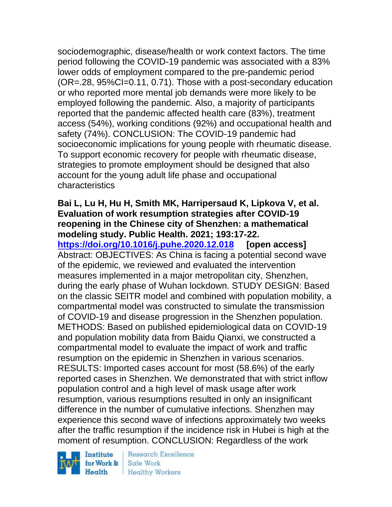sociodemographic, disease/health or work context factors. The time period following the COVID-19 pandemic was associated with a 83% lower odds of employment compared to the pre-pandemic period (OR=.28, 95%CI=0.11, 0.71). Those with a post-secondary education or who reported more mental job demands were more likely to be employed following the pandemic. Also, a majority of participants reported that the pandemic affected health care (83%), treatment access (54%), working conditions (92%) and occupational health and safety (74%). CONCLUSION: The COVID-19 pandemic had socioeconomic implications for young people with rheumatic disease. To support economic recovery for people with rheumatic disease, strategies to promote employment should be designed that also account for the young adult life phase and occupational characteristics

### **Bai L, Lu H, Hu H, Smith MK, Harripersaud K, Lipkova V, et al. Evaluation of work resumption strategies after COVID-19 reopening in the Chinese city of Shenzhen: a mathematical modeling study. Public Health. 2021; 193:17-22.**

**<https://doi.org/10.1016/j.puhe.2020.12.018> [open access]** Abstract: OBJECTIVES: As China is facing a potential second wave of the epidemic, we reviewed and evaluated the intervention measures implemented in a major metropolitan city, Shenzhen, during the early phase of Wuhan lockdown. STUDY DESIGN: Based on the classic SEITR model and combined with population mobility, a compartmental model was constructed to simulate the transmission of COVID-19 and disease progression in the Shenzhen population. METHODS: Based on published epidemiological data on COVID-19 and population mobility data from Baidu Qianxi, we constructed a compartmental model to evaluate the impact of work and traffic resumption on the epidemic in Shenzhen in various scenarios. RESULTS: Imported cases account for most (58.6%) of the early reported cases in Shenzhen. We demonstrated that with strict inflow population control and a high level of mask usage after work resumption, various resumptions resulted in only an insignificant difference in the number of cumulative infections. Shenzhen may experience this second wave of infections approximately two weeks after the traffic resumption if the incidence risk in Hubei is high at the moment of resumption. CONCLUSION: Regardless of the work

Institute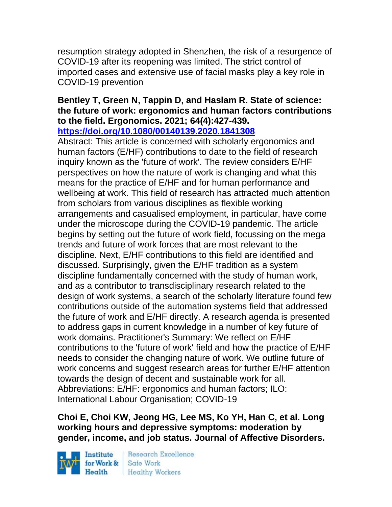resumption strategy adopted in Shenzhen, the risk of a resurgence of COVID-19 after its reopening was limited. The strict control of imported cases and extensive use of facial masks play a key role in COVID-19 prevention

# **Bentley T, Green N, Tappin D, and Haslam R. State of science: the future of work: ergonomics and human factors contributions to the field. Ergonomics. 2021; 64(4):427-439.**

**<https://doi.org/10.1080/00140139.2020.1841308>** 

Abstract: This article is concerned with scholarly ergonomics and human factors (E/HF) contributions to date to the field of research inquiry known as the 'future of work'. The review considers E/HF perspectives on how the nature of work is changing and what this means for the practice of E/HF and for human performance and wellbeing at work. This field of research has attracted much attention from scholars from various disciplines as flexible working arrangements and casualised employment, in particular, have come under the microscope during the COVID-19 pandemic. The article begins by setting out the future of work field, focussing on the mega trends and future of work forces that are most relevant to the discipline. Next, E/HF contributions to this field are identified and discussed. Surprisingly, given the E/HF tradition as a system discipline fundamentally concerned with the study of human work, and as a contributor to transdisciplinary research related to the design of work systems, a search of the scholarly literature found few contributions outside of the automation systems field that addressed the future of work and E/HF directly. A research agenda is presented to address gaps in current knowledge in a number of key future of work domains. Practitioner's Summary: We reflect on E/HF contributions to the 'future of work' field and how the practice of E/HF needs to consider the changing nature of work. We outline future of work concerns and suggest research areas for further E/HF attention towards the design of decent and sustainable work for all. Abbreviations: E/HF: ergonomics and human factors; ILO: International Labour Organisation; COVID-19

**Choi E, Choi KW, Jeong HG, Lee MS, Ko YH, Han C, et al. Long working hours and depressive symptoms: moderation by gender, income, and job status. Journal of Affective Disorders.** 

Institute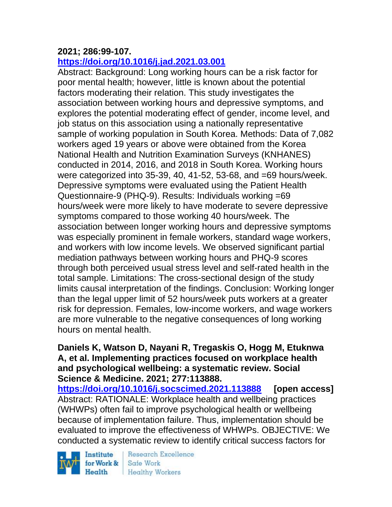### **2021; 286:99-107.**

## **<https://doi.org/10.1016/j.jad.2021.03.001>**

Abstract: Background: Long working hours can be a risk factor for poor mental health; however, little is known about the potential factors moderating their relation. This study investigates the association between working hours and depressive symptoms, and explores the potential moderating effect of gender, income level, and job status on this association using a nationally representative sample of working population in South Korea. Methods: Data of 7,082 workers aged 19 years or above were obtained from the Korea National Health and Nutrition Examination Surveys (KNHANES) conducted in 2014, 2016, and 2018 in South Korea. Working hours were categorized into 35-39, 40, 41-52, 53-68, and =69 hours/week. Depressive symptoms were evaluated using the Patient Health Questionnaire-9 (PHQ-9). Results: Individuals working =69 hours/week were more likely to have moderate to severe depressive symptoms compared to those working 40 hours/week. The association between longer working hours and depressive symptoms was especially prominent in female workers, standard wage workers, and workers with low income levels. We observed significant partial mediation pathways between working hours and PHQ-9 scores through both perceived usual stress level and self-rated health in the total sample. Limitations: The cross-sectional design of the study limits causal interpretation of the findings. Conclusion: Working longer than the legal upper limit of 52 hours/week puts workers at a greater risk for depression. Females, low-income workers, and wage workers are more vulnerable to the negative consequences of long working hours on mental health.

### **Daniels K, Watson D, Nayani R, Tregaskis O, Hogg M, Etuknwa A, et al. Implementing practices focused on workplace health and psychological wellbeing: a systematic review. Social Science & Medicine. 2021; 277:113888.**

**<https://doi.org/10.1016/j.socscimed.2021.113888> [open access]** Abstract: RATIONALE: Workplace health and wellbeing practices (WHWPs) often fail to improve psychological health or wellbeing because of implementation failure. Thus, implementation should be evaluated to improve the effectiveness of WHWPs. OBJECTIVE: We conducted a systematic review to identify critical success factors for

Institute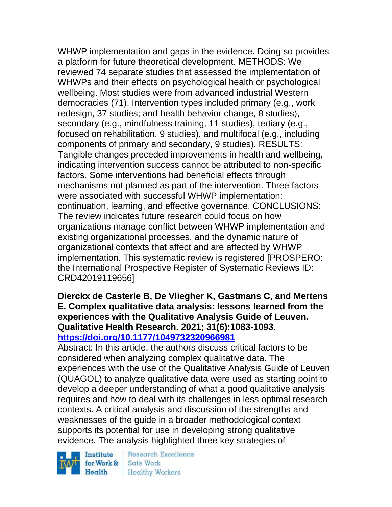WHWP implementation and gaps in the evidence. Doing so provides a platform for future theoretical development. METHODS: We reviewed 74 separate studies that assessed the implementation of WHWPs and their effects on psychological health or psychological wellbeing. Most studies were from advanced industrial Western democracies (71). Intervention types included primary (e.g., work redesign, 37 studies; and health behavior change, 8 studies), secondary (e.g., mindfulness training, 11 studies), tertiary (e.g., focused on rehabilitation, 9 studies), and multifocal (e.g., including components of primary and secondary, 9 studies). RESULTS: Tangible changes preceded improvements in health and wellbeing, indicating intervention success cannot be attributed to non-specific factors. Some interventions had beneficial effects through mechanisms not planned as part of the intervention. Three factors were associated with successful WHWP implementation: continuation, learning, and effective governance. CONCLUSIONS: The review indicates future research could focus on how organizations manage conflict between WHWP implementation and existing organizational processes, and the dynamic nature of organizational contexts that affect and are affected by WHWP implementation. This systematic review is registered [PROSPERO: the International Prospective Register of Systematic Reviews ID: CRD42019119656]

**Dierckx de Casterle B, De Vliegher K, Gastmans C, and Mertens E. Complex qualitative data analysis: lessons learned from the experiences with the Qualitative Analysis Guide of Leuven. Qualitative Health Research. 2021; 31(6):1083-1093. <https://doi.org/10.1177/1049732320966981>** 

Abstract: In this article, the authors discuss critical factors to be considered when analyzing complex qualitative data. The experiences with the use of the Qualitative Analysis Guide of Leuven (QUAGOL) to analyze qualitative data were used as starting point to develop a deeper understanding of what a good qualitative analysis requires and how to deal with its challenges in less optimal research contexts. A critical analysis and discussion of the strengths and weaknesses of the guide in a broader methodological context supports its potential for use in developing strong qualitative evidence. The analysis highlighted three key strategies of

Institute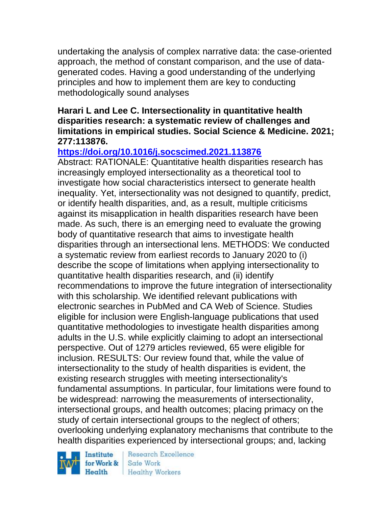undertaking the analysis of complex narrative data: the case-oriented approach, the method of constant comparison, and the use of datagenerated codes. Having a good understanding of the underlying principles and how to implement them are key to conducting methodologically sound analyses

### **Harari L and Lee C. Intersectionality in quantitative health disparities research: a systematic review of challenges and limitations in empirical studies. Social Science & Medicine. 2021; 277:113876.**

## **<https://doi.org/10.1016/j.socscimed.2021.113876>**

Abstract: RATIONALE: Quantitative health disparities research has increasingly employed intersectionality as a theoretical tool to investigate how social characteristics intersect to generate health inequality. Yet, intersectionality was not designed to quantify, predict, or identify health disparities, and, as a result, multiple criticisms against its misapplication in health disparities research have been made. As such, there is an emerging need to evaluate the growing body of quantitative research that aims to investigate health disparities through an intersectional lens. METHODS: We conducted a systematic review from earliest records to January 2020 to (i) describe the scope of limitations when applying intersectionality to quantitative health disparities research, and (ii) identify recommendations to improve the future integration of intersectionality with this scholarship. We identified relevant publications with electronic searches in PubMed and CA Web of Science. Studies eligible for inclusion were English-language publications that used quantitative methodologies to investigate health disparities among adults in the U.S. while explicitly claiming to adopt an intersectional perspective. Out of 1279 articles reviewed, 65 were eligible for inclusion. RESULTS: Our review found that, while the value of intersectionality to the study of health disparities is evident, the existing research struggles with meeting intersectionality's fundamental assumptions. In particular, four limitations were found to be widespread: narrowing the measurements of intersectionality, intersectional groups, and health outcomes; placing primacy on the study of certain intersectional groups to the neglect of others; overlooking underlying explanatory mechanisms that contribute to the health disparities experienced by intersectional groups; and, lacking

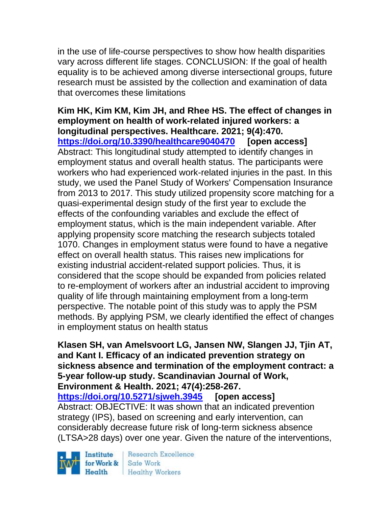in the use of life-course perspectives to show how health disparities vary across different life stages. CONCLUSION: If the goal of health equality is to be achieved among diverse intersectional groups, future research must be assisted by the collection and examination of data that overcomes these limitations

**Kim HK, Kim KM, Kim JH, and Rhee HS. The effect of changes in employment on health of work-related injured workers: a longitudinal perspectives. Healthcare. 2021; 9(4):470. <https://doi.org/10.3390/healthcare9040470> [open access]** Abstract: This longitudinal study attempted to identify changes in employment status and overall health status. The participants were workers who had experienced work-related injuries in the past. In this study, we used the Panel Study of Workers' Compensation Insurance from 2013 to 2017. This study utilized propensity score matching for a quasi-experimental design study of the first year to exclude the effects of the confounding variables and exclude the effect of employment status, which is the main independent variable. After applying propensity score matching the research subjects totaled 1070. Changes in employment status were found to have a negative effect on overall health status. This raises new implications for existing industrial accident-related support policies. Thus, it is considered that the scope should be expanded from policies related to re-employment of workers after an industrial accident to improving quality of life through maintaining employment from a long-term perspective. The notable point of this study was to apply the PSM methods. By applying PSM, we clearly identified the effect of changes in employment status on health status

**Klasen SH, van Amelsvoort LG, Jansen NW, Slangen JJ, Tjin AT, and Kant I. Efficacy of an indicated prevention strategy on sickness absence and termination of the employment contract: a 5-year follow-up study. Scandinavian Journal of Work, Environment & Health. 2021; 47(4):258-267.** 

**<https://doi.org/10.5271/sjweh.3945> [open access]** Abstract: OBJECTIVE: It was shown that an indicated prevention strategy (IPS), based on screening and early intervention, can considerably decrease future risk of long-term sickness absence (LTSA>28 days) over one year. Given the nature of the interventions,

Institute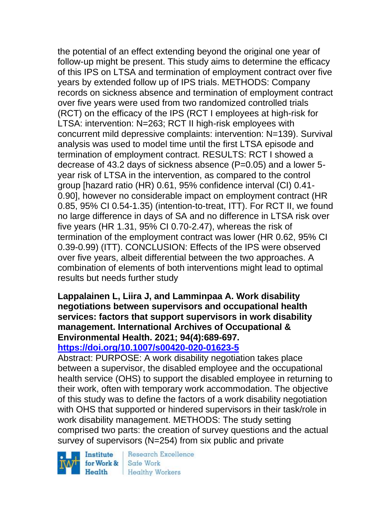the potential of an effect extending beyond the original one year of follow-up might be present. This study aims to determine the efficacy of this IPS on LTSA and termination of employment contract over five years by extended follow up of IPS trials. METHODS: Company records on sickness absence and termination of employment contract over five years were used from two randomized controlled trials (RCT) on the efficacy of the IPS (RCT I employees at high-risk for LTSA: intervention: N=263; RCT II high-risk employees with concurrent mild depressive complaints: intervention: N=139). Survival analysis was used to model time until the first LTSA episode and termination of employment contract. RESULTS: RCT I showed a decrease of 43.2 days of sickness absence (P=0.05) and a lower 5 year risk of LTSA in the intervention, as compared to the control group [hazard ratio (HR) 0.61, 95% confidence interval (CI) 0.41- 0.90], however no considerable impact on employment contract (HR 0.85, 95% CI 0.54-1.35) (intention-to-treat, ITT). For RCT II, we found no large difference in days of SA and no difference in LTSA risk over five years (HR 1.31, 95% CI 0.70-2.47), whereas the risk of termination of the employment contract was lower (HR 0.62, 95% CI 0.39-0.99) (ITT). CONCLUSION: Effects of the IPS were observed over five years, albeit differential between the two approaches. A combination of elements of both interventions might lead to optimal results but needs further study

### **Lappalainen L, Liira J, and Lamminpaa A. Work disability negotiations between supervisors and occupational health services: factors that support supervisors in work disability management. International Archives of Occupational & Environmental Health. 2021; 94(4):689-697. <https://doi.org/10.1007/s00420-020-01623-5>**

Abstract: PURPOSE: A work disability negotiation takes place between a supervisor, the disabled employee and the occupational health service (OHS) to support the disabled employee in returning to their work, often with temporary work accommodation. The objective of this study was to define the factors of a work disability negotiation with OHS that supported or hindered supervisors in their task/role in work disability management. METHODS: The study setting comprised two parts: the creation of survey questions and the actual survey of supervisors (N=254) from six public and private

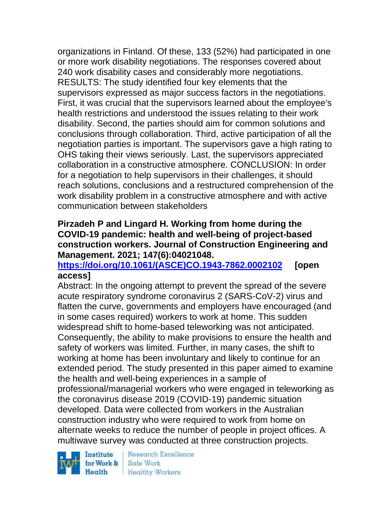organizations in Finland. Of these, 133 (52%) had participated in one or more work disability negotiations. The responses covered about 240 work disability cases and considerably more negotiations. RESULTS: The study identified four key elements that the supervisors expressed as major success factors in the negotiations. First, it was crucial that the supervisors learned about the employee's health restrictions and understood the issues relating to their work disability. Second, the parties should aim for common solutions and conclusions through collaboration. Third, active participation of all the negotiation parties is important. The supervisors gave a high rating to OHS taking their views seriously. Last, the supervisors appreciated collaboration in a constructive atmosphere. CONCLUSION: In order for a negotiation to help supervisors in their challenges, it should reach solutions, conclusions and a restructured comprehension of the work disability problem in a constructive atmosphere and with active communication between stakeholders

### **Pirzadeh P and Lingard H. Working from home during the COVID-19 pandemic: health and well-being of project-based construction workers. Journal of Construction Engineering and Management. 2021; 147(6):04021048.**

### **[https://doi.org/10.1061/\(ASCE\)CO.1943-7862.0002102](https://doi.org/10.1061/(ASCE)CO.1943-7862.0002102) [open access]**

Abstract: In the ongoing attempt to prevent the spread of the severe acute respiratory syndrome coronavirus 2 (SARS-CoV-2) virus and flatten the curve, governments and employers have encouraged (and in some cases required) workers to work at home. This sudden widespread shift to home-based teleworking was not anticipated. Consequently, the ability to make provisions to ensure the health and safety of workers was limited. Further, in many cases, the shift to working at home has been involuntary and likely to continue for an extended period. The study presented in this paper aimed to examine the health and well-being experiences in a sample of professional/managerial workers who were engaged in teleworking as the coronavirus disease 2019 (COVID-19) pandemic situation developed. Data were collected from workers in the Australian construction industry who were required to work from home on alternate weeks to reduce the number of people in project offices. A multiwave survey was conducted at three construction projects.

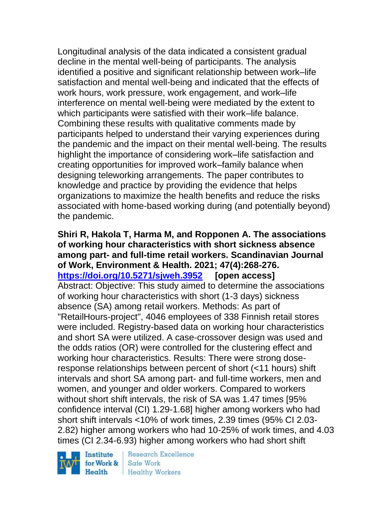Longitudinal analysis of the data indicated a consistent gradual decline in the mental well-being of participants. The analysis identified a positive and significant relationship between work–life satisfaction and mental well-being and indicated that the effects of work hours, work pressure, work engagement, and work–life interference on mental well-being were mediated by the extent to which participants were satisfied with their work–life balance. Combining these results with qualitative comments made by participants helped to understand their varying experiences during the pandemic and the impact on their mental well-being. The results highlight the importance of considering work–life satisfaction and creating opportunities for improved work–family balance when designing teleworking arrangements. The paper contributes to knowledge and practice by providing the evidence that helps organizations to maximize the health benefits and reduce the risks associated with home-based working during (and potentially beyond) the pandemic.

**Shiri R, Hakola T, Harma M, and Ropponen A. The associations of working hour characteristics with short sickness absence among part- and full-time retail workers. Scandinavian Journal of Work, Environment & Health. 2021; 47(4):268-276. <https://doi.org/10.5271/sjweh.3952> [open access]** Abstract: Objective: This study aimed to determine the associations of working hour characteristics with short (1-3 days) sickness absence (SA) among retail workers. Methods: As part of "RetailHours-project", 4046 employees of 338 Finnish retail stores were included. Registry-based data on working hour characteristics and short SA were utilized. A case-crossover design was used and the odds ratios (OR) were controlled for the clustering effect and working hour characteristics. Results: There were strong doseresponse relationships between percent of short (<11 hours) shift intervals and short SA among part- and full-time workers, men and women, and younger and older workers. Compared to workers without short shift intervals, the risk of SA was 1.47 times [95% confidence interval (CI) 1.29-1.68] higher among workers who had short shift intervals <10% of work times, 2.39 times (95% CI 2.03- 2.82) higher among workers who had 10-25% of work times, and 4.03 times (CI 2.34-6.93) higher among workers who had short shift

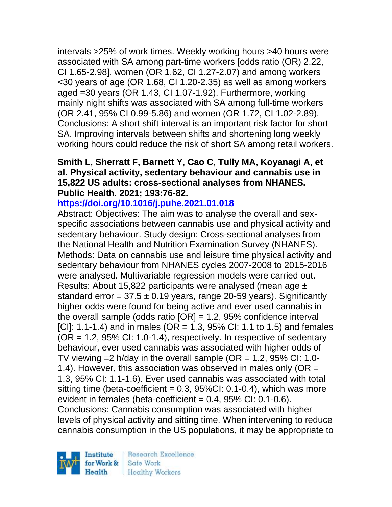intervals >25% of work times. Weekly working hours >40 hours were associated with SA among part-time workers [odds ratio (OR) 2.22, CI 1.65-2.98], women (OR 1.62, CI 1.27-2.07) and among workers <30 years of age (OR 1.68, CI 1.20-2.35) as well as among workers aged =30 years (OR 1.43, CI 1.07-1.92). Furthermore, working mainly night shifts was associated with SA among full-time workers (OR 2.41, 95% CI 0.99-5.86) and women (OR 1.72, CI 1.02-2.89). Conclusions: A short shift interval is an important risk factor for short SA. Improving intervals between shifts and shortening long weekly working hours could reduce the risk of short SA among retail workers.

### **Smith L, Sherratt F, Barnett Y, Cao C, Tully MA, Koyanagi A, et al. Physical activity, sedentary behaviour and cannabis use in 15,822 US adults: cross-sectional analyses from NHANES. Public Health. 2021; 193:76-82.**

### **<https://doi.org/10.1016/j.puhe.2021.01.018>**

Abstract: Objectives: The aim was to analyse the overall and sexspecific associations between cannabis use and physical activity and sedentary behaviour. Study design: Cross-sectional analyses from the National Health and Nutrition Examination Survey (NHANES). Methods: Data on cannabis use and leisure time physical activity and sedentary behaviour from NHANES cycles 2007-2008 to 2015-2016 were analysed. Multivariable regression models were carried out. Results: About 15,822 participants were analysed (mean age ± standard error =  $37.5 \pm 0.19$  years, range 20-59 years). Significantly higher odds were found for being active and ever used cannabis in the overall sample (odds ratio  $[OR] = 1.2$ , 95% confidence interval [CI]: 1.1-1.4) and in males (OR = 1.3, 95% CI: 1.1 to 1.5) and females  $(OR = 1.2, 95\% \text{ Cl: } 1.0-1.4)$ , respectively. In respective of sedentary behaviour, ever used cannabis was associated with higher odds of TV viewing  $=2$  h/day in the overall sample (OR  $=$  1.2, 95% CI: 1.0-1.4). However, this association was observed in males only (OR = 1.3, 95% CI: 1.1-1.6). Ever used cannabis was associated with total sitting time (beta-coefficient =  $0.3$ ,  $95\%$ CI:  $0.1$ - $0.4$ ), which was more evident in females (beta-coefficient  $= 0.4$ , 95% CI: 0.1-0.6). Conclusions: Cannabis consumption was associated with higher levels of physical activity and sitting time. When intervening to reduce cannabis consumption in the US populations, it may be appropriate to

Institute for Work & Health

Research Excellence Safe Work **Healthy Workers**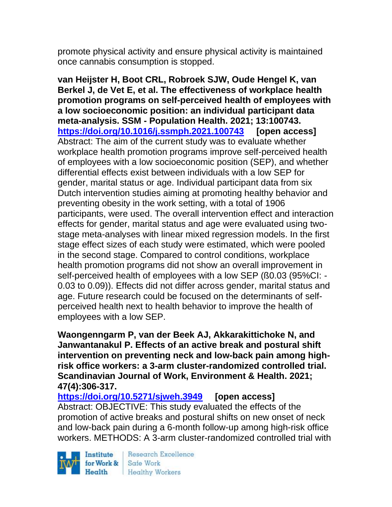promote physical activity and ensure physical activity is maintained once cannabis consumption is stopped.

**van Heijster H, Boot CRL, Robroek SJW, Oude Hengel K, van Berkel J, de Vet E, et al. The effectiveness of workplace health promotion programs on self-perceived health of employees with a low socioeconomic position: an individual participant data meta-analysis. SSM - Population Health. 2021; 13:100743. <https://doi.org/10.1016/j.ssmph.2021.100743> [open access]** Abstract: The aim of the current study was to evaluate whether workplace health promotion programs improve self-perceived health of employees with a low socioeconomic position (SEP), and whether differential effects exist between individuals with a low SEP for gender, marital status or age. Individual participant data from six Dutch intervention studies aiming at promoting healthy behavior and preventing obesity in the work setting, with a total of 1906 participants, were used. The overall intervention effect and interaction effects for gender, marital status and age were evaluated using twostage meta-analyses with linear mixed regression models. In the first stage effect sizes of each study were estimated, which were pooled in the second stage. Compared to control conditions, workplace health promotion programs did not show an overall improvement in self-perceived health of employees with a low SEP (ß0.03 (95%CI: - 0.03 to 0.09)). Effects did not differ across gender, marital status and age. Future research could be focused on the determinants of selfperceived health next to health behavior to improve the health of employees with a low SEP.

**Waongenngarm P, van der Beek AJ, Akkarakittichoke N, and Janwantanakul P. Effects of an active break and postural shift intervention on preventing neck and low-back pain among highrisk office workers: a 3-arm cluster-randomized controlled trial. Scandinavian Journal of Work, Environment & Health. 2021; 47(4):306-317.** 

**<https://doi.org/10.5271/sjweh.3949> [open access]** Abstract: OBJECTIVE: This study evaluated the effects of the promotion of active breaks and postural shifts on new onset of neck and low-back pain during a 6-month follow-up among high-risk office workers. METHODS: A 3-arm cluster-randomized controlled trial with

Institute Health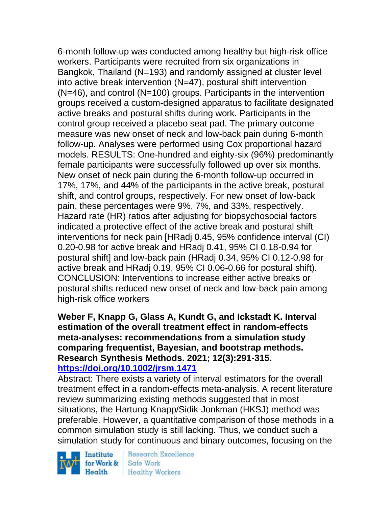6-month follow-up was conducted among healthy but high-risk office workers. Participants were recruited from six organizations in Bangkok, Thailand (N=193) and randomly assigned at cluster level into active break intervention (N=47), postural shift intervention (N=46), and control (N=100) groups. Participants in the intervention groups received a custom-designed apparatus to facilitate designated active breaks and postural shifts during work. Participants in the control group received a placebo seat pad. The primary outcome measure was new onset of neck and low-back pain during 6-month follow-up. Analyses were performed using Cox proportional hazard models. RESULTS: One-hundred and eighty-six (96%) predominantly female participants were successfully followed up over six months. New onset of neck pain during the 6-month follow-up occurred in 17%, 17%, and 44% of the participants in the active break, postural shift, and control groups, respectively. For new onset of low-back pain, these percentages were 9%, 7%, and 33%, respectively. Hazard rate (HR) ratios after adjusting for biopsychosocial factors indicated a protective effect of the active break and postural shift interventions for neck pain [HRadj 0.45, 95% confidence interval (CI) 0.20-0.98 for active break and HRadj 0.41, 95% CI 0.18-0.94 for postural shift] and low-back pain (HRadj 0.34, 95% CI 0.12-0.98 for active break and HRadj 0.19, 95% CI 0.06-0.66 for postural shift). CONCLUSION: Interventions to increase either active breaks or postural shifts reduced new onset of neck and low-back pain among high-risk office workers

### **Weber F, Knapp G, Glass A, Kundt G, and Ickstadt K. Interval estimation of the overall treatment effect in random-effects meta-analyses: recommendations from a simulation study comparing frequentist, Bayesian, and bootstrap methods. Research Synthesis Methods. 2021; 12(3):291-315. <https://doi.org/10.1002/jrsm.1471>**

Abstract: There exists a variety of interval estimators for the overall treatment effect in a random-effects meta-analysis. A recent literature review summarizing existing methods suggested that in most situations, the Hartung-Knapp/Sidik-Jonkman (HKSJ) method was preferable. However, a quantitative comparison of those methods in a common simulation study is still lacking. Thus, we conduct such a simulation study for continuous and binary outcomes, focusing on the

Institute